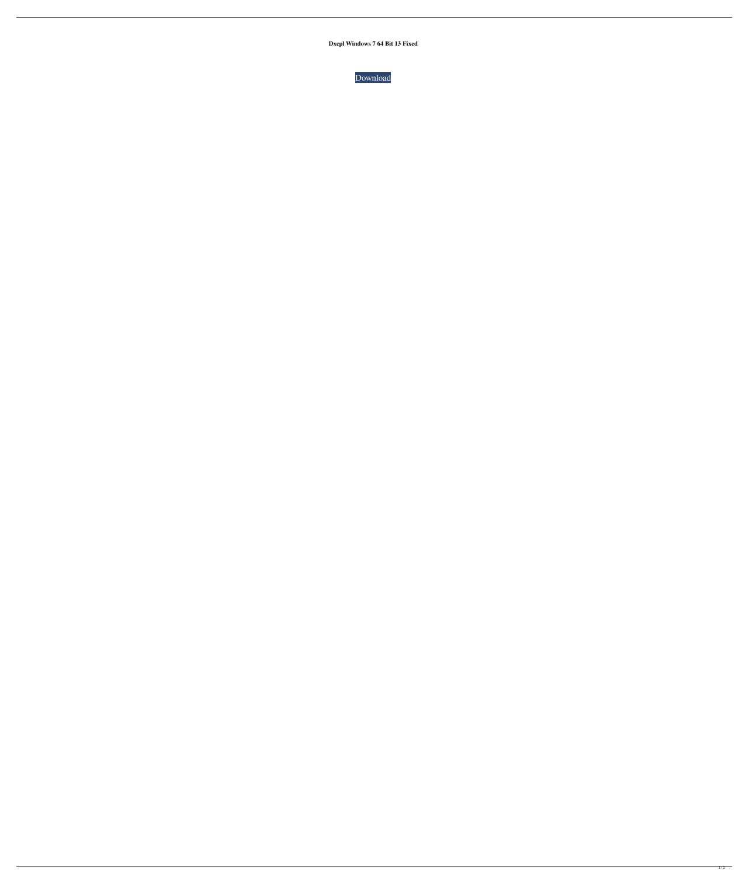**Dxcpl Windows 7 64 Bit 13 Fixed**